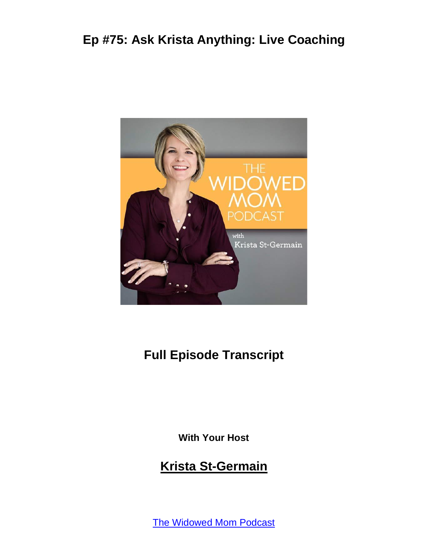

## **Full Episode Transcript**

**With Your Host**

#### **Krista St-Germain**

The [Widowed](https://coachingwithkrista.com/podcast) Mom Podcast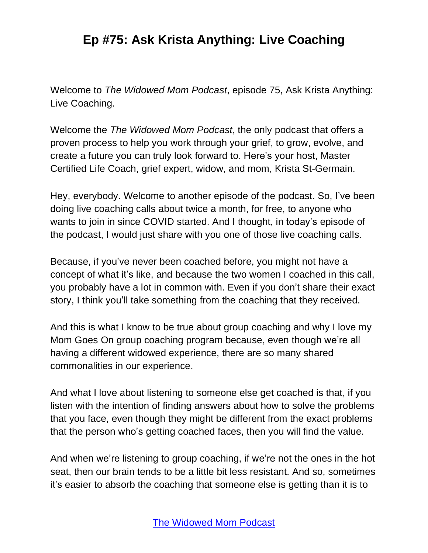Welcome to *The Widowed Mom Podcast*, episode 75, Ask Krista Anything: Live Coaching.

Welcome the *The Widowed Mom Podcast*, the only podcast that offers a proven process to help you work through your grief, to grow, evolve, and create a future you can truly look forward to. Here's your host, Master Certified Life Coach, grief expert, widow, and mom, Krista St-Germain.

Hey, everybody. Welcome to another episode of the podcast. So, I've been doing live coaching calls about twice a month, for free, to anyone who wants to join in since COVID started. And I thought, in today's episode of the podcast, I would just share with you one of those live coaching calls.

Because, if you've never been coached before, you might not have a concept of what it's like, and because the two women I coached in this call, you probably have a lot in common with. Even if you don't share their exact story, I think you'll take something from the coaching that they received.

And this is what I know to be true about group coaching and why I love my Mom Goes On group coaching program because, even though we're all having a different widowed experience, there are so many shared commonalities in our experience.

And what I love about listening to someone else get coached is that, if you listen with the intention of finding answers about how to solve the problems that you face, even though they might be different from the exact problems that the person who's getting coached faces, then you will find the value.

And when we're listening to group coaching, if we're not the ones in the hot seat, then our brain tends to be a little bit less resistant. And so, sometimes it's easier to absorb the coaching that someone else is getting than it is to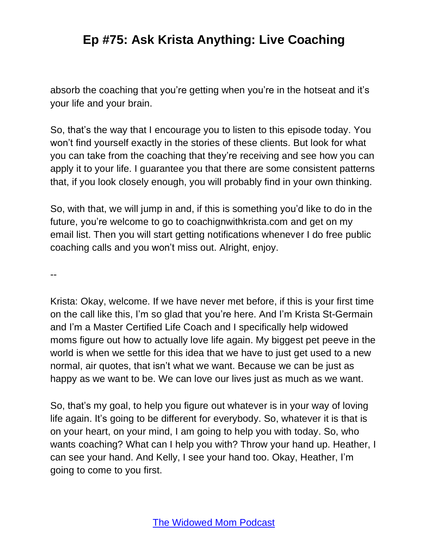absorb the coaching that you're getting when you're in the hotseat and it's your life and your brain.

So, that's the way that I encourage you to listen to this episode today. You won't find yourself exactly in the stories of these clients. But look for what you can take from the coaching that they're receiving and see how you can apply it to your life. I guarantee you that there are some consistent patterns that, if you look closely enough, you will probably find in your own thinking.

So, with that, we will jump in and, if this is something you'd like to do in the future, you're welcome to go to coachignwithkrista.com and get on my email list. Then you will start getting notifications whenever I do free public coaching calls and you won't miss out. Alright, enjoy.

--

Krista: Okay, welcome. If we have never met before, if this is your first time on the call like this, I'm so glad that you're here. And I'm Krista St-Germain and I'm a Master Certified Life Coach and I specifically help widowed moms figure out how to actually love life again. My biggest pet peeve in the world is when we settle for this idea that we have to just get used to a new normal, air quotes, that isn't what we want. Because we can be just as happy as we want to be. We can love our lives just as much as we want.

So, that's my goal, to help you figure out whatever is in your way of loving life again. It's going to be different for everybody. So, whatever it is that is on your heart, on your mind, I am going to help you with today. So, who wants coaching? What can I help you with? Throw your hand up. Heather, I can see your hand. And Kelly, I see your hand too. Okay, Heather, I'm going to come to you first.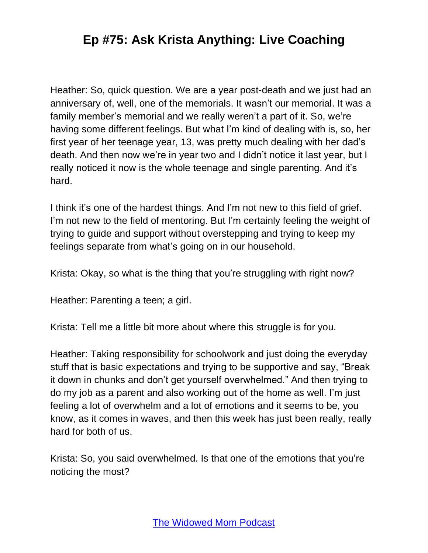Heather: So, quick question. We are a year post-death and we just had an anniversary of, well, one of the memorials. It wasn't our memorial. It was a family member's memorial and we really weren't a part of it. So, we're having some different feelings. But what I'm kind of dealing with is, so, her first year of her teenage year, 13, was pretty much dealing with her dad's death. And then now we're in year two and I didn't notice it last year, but I really noticed it now is the whole teenage and single parenting. And it's hard.

I think it's one of the hardest things. And I'm not new to this field of grief. I'm not new to the field of mentoring. But I'm certainly feeling the weight of trying to guide and support without overstepping and trying to keep my feelings separate from what's going on in our household.

Krista: Okay, so what is the thing that you're struggling with right now?

Heather: Parenting a teen; a girl.

Krista: Tell me a little bit more about where this struggle is for you.

Heather: Taking responsibility for schoolwork and just doing the everyday stuff that is basic expectations and trying to be supportive and say, "Break it down in chunks and don't get yourself overwhelmed." And then trying to do my job as a parent and also working out of the home as well. I'm just feeling a lot of overwhelm and a lot of emotions and it seems to be, you know, as it comes in waves, and then this week has just been really, really hard for both of us.

Krista: So, you said overwhelmed. Is that one of the emotions that you're noticing the most?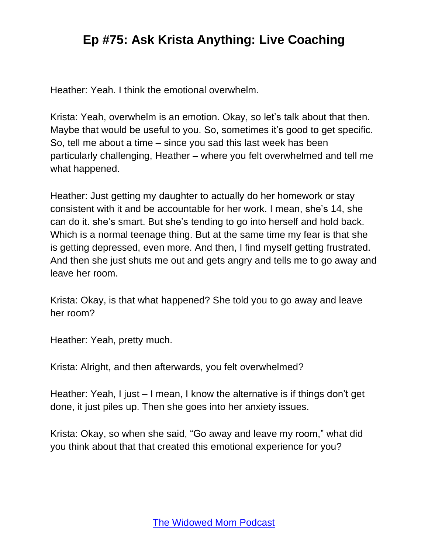Heather: Yeah. I think the emotional overwhelm.

Krista: Yeah, overwhelm is an emotion. Okay, so let's talk about that then. Maybe that would be useful to you. So, sometimes it's good to get specific. So, tell me about a time – since you sad this last week has been particularly challenging, Heather – where you felt overwhelmed and tell me what happened.

Heather: Just getting my daughter to actually do her homework or stay consistent with it and be accountable for her work. I mean, she's 14, she can do it. she's smart. But she's tending to go into herself and hold back. Which is a normal teenage thing. But at the same time my fear is that she is getting depressed, even more. And then, I find myself getting frustrated. And then she just shuts me out and gets angry and tells me to go away and leave her room.

Krista: Okay, is that what happened? She told you to go away and leave her room?

Heather: Yeah, pretty much.

Krista: Alright, and then afterwards, you felt overwhelmed?

Heather: Yeah, I just – I mean, I know the alternative is if things don't get done, it just piles up. Then she goes into her anxiety issues.

Krista: Okay, so when she said, "Go away and leave my room," what did you think about that that created this emotional experience for you?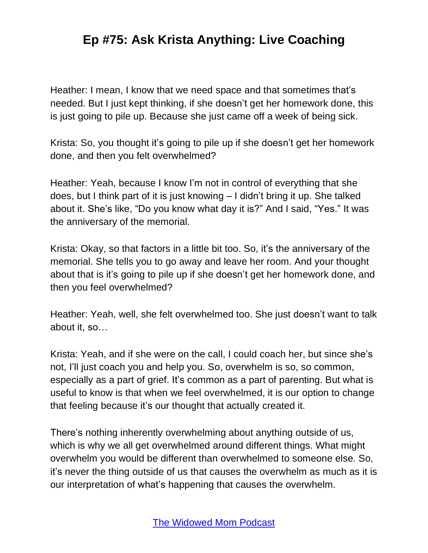Heather: I mean, I know that we need space and that sometimes that's needed. But I just kept thinking, if she doesn't get her homework done, this is just going to pile up. Because she just came off a week of being sick.

Krista: So, you thought it's going to pile up if she doesn't get her homework done, and then you felt overwhelmed?

Heather: Yeah, because I know I'm not in control of everything that she does, but I think part of it is just knowing – I didn't bring it up. She talked about it. She's like, "Do you know what day it is?" And I said, "Yes." It was the anniversary of the memorial.

Krista: Okay, so that factors in a little bit too. So, it's the anniversary of the memorial. She tells you to go away and leave her room. And your thought about that is it's going to pile up if she doesn't get her homework done, and then you feel overwhelmed?

Heather: Yeah, well, she felt overwhelmed too. She just doesn't want to talk about it, so…

Krista: Yeah, and if she were on the call, I could coach her, but since she's not, I'll just coach you and help you. So, overwhelm is so, so common, especially as a part of grief. It's common as a part of parenting. But what is useful to know is that when we feel overwhelmed, it is our option to change that feeling because it's our thought that actually created it.

There's nothing inherently overwhelming about anything outside of us, which is why we all get overwhelmed around different things. What might overwhelm you would be different than overwhelmed to someone else. So, it's never the thing outside of us that causes the overwhelm as much as it is our interpretation of what's happening that causes the overwhelm.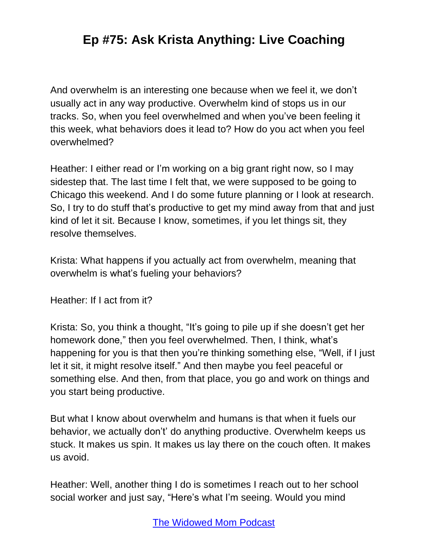And overwhelm is an interesting one because when we feel it, we don't usually act in any way productive. Overwhelm kind of stops us in our tracks. So, when you feel overwhelmed and when you've been feeling it this week, what behaviors does it lead to? How do you act when you feel overwhelmed?

Heather: I either read or I'm working on a big grant right now, so I may sidestep that. The last time I felt that, we were supposed to be going to Chicago this weekend. And I do some future planning or I look at research. So, I try to do stuff that's productive to get my mind away from that and just kind of let it sit. Because I know, sometimes, if you let things sit, they resolve themselves.

Krista: What happens if you actually act from overwhelm, meaning that overwhelm is what's fueling your behaviors?

Heather: If I act from it?

Krista: So, you think a thought, "It's going to pile up if she doesn't get her homework done," then you feel overwhelmed. Then, I think, what's happening for you is that then you're thinking something else, "Well, if I just let it sit, it might resolve itself." And then maybe you feel peaceful or something else. And then, from that place, you go and work on things and you start being productive.

But what I know about overwhelm and humans is that when it fuels our behavior, we actually don't' do anything productive. Overwhelm keeps us stuck. It makes us spin. It makes us lay there on the couch often. It makes us avoid.

Heather: Well, another thing I do is sometimes I reach out to her school social worker and just say, "Here's what I'm seeing. Would you mind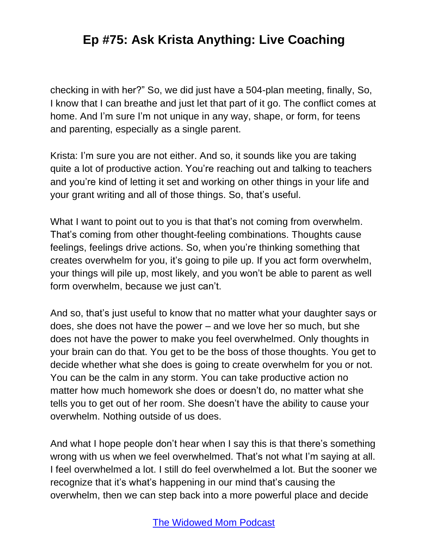checking in with her?" So, we did just have a 504-plan meeting, finally, So, I know that I can breathe and just let that part of it go. The conflict comes at home. And I'm sure I'm not unique in any way, shape, or form, for teens and parenting, especially as a single parent.

Krista: I'm sure you are not either. And so, it sounds like you are taking quite a lot of productive action. You're reaching out and talking to teachers and you're kind of letting it set and working on other things in your life and your grant writing and all of those things. So, that's useful.

What I want to point out to you is that that's not coming from overwhelm. That's coming from other thought-feeling combinations. Thoughts cause feelings, feelings drive actions. So, when you're thinking something that creates overwhelm for you, it's going to pile up. If you act form overwhelm, your things will pile up, most likely, and you won't be able to parent as well form overwhelm, because we just can't.

And so, that's just useful to know that no matter what your daughter says or does, she does not have the power – and we love her so much, but she does not have the power to make you feel overwhelmed. Only thoughts in your brain can do that. You get to be the boss of those thoughts. You get to decide whether what she does is going to create overwhelm for you or not. You can be the calm in any storm. You can take productive action no matter how much homework she does or doesn't do, no matter what she tells you to get out of her room. She doesn't have the ability to cause your overwhelm. Nothing outside of us does.

And what I hope people don't hear when I say this is that there's something wrong with us when we feel overwhelmed. That's not what I'm saying at all. I feel overwhelmed a lot. I still do feel overwhelmed a lot. But the sooner we recognize that it's what's happening in our mind that's causing the overwhelm, then we can step back into a more powerful place and decide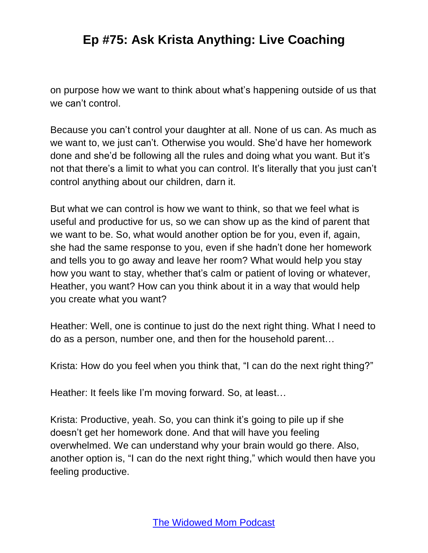on purpose how we want to think about what's happening outside of us that we can't control.

Because you can't control your daughter at all. None of us can. As much as we want to, we just can't. Otherwise you would. She'd have her homework done and she'd be following all the rules and doing what you want. But it's not that there's a limit to what you can control. It's literally that you just can't control anything about our children, darn it.

But what we can control is how we want to think, so that we feel what is useful and productive for us, so we can show up as the kind of parent that we want to be. So, what would another option be for you, even if, again, she had the same response to you, even if she hadn't done her homework and tells you to go away and leave her room? What would help you stay how you want to stay, whether that's calm or patient of loving or whatever, Heather, you want? How can you think about it in a way that would help you create what you want?

Heather: Well, one is continue to just do the next right thing. What I need to do as a person, number one, and then for the household parent…

Krista: How do you feel when you think that, "I can do the next right thing?"

Heather: It feels like I'm moving forward. So, at least…

Krista: Productive, yeah. So, you can think it's going to pile up if she doesn't get her homework done. And that will have you feeling overwhelmed. We can understand why your brain would go there. Also, another option is, "I can do the next right thing," which would then have you feeling productive.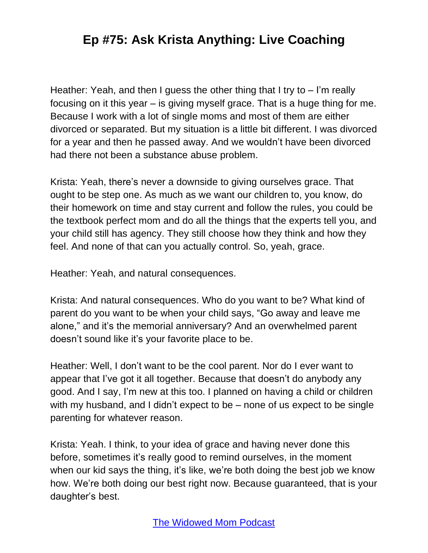Heather: Yeah, and then I guess the other thing that I try to – I'm really focusing on it this year – is giving myself grace. That is a huge thing for me. Because I work with a lot of single moms and most of them are either divorced or separated. But my situation is a little bit different. I was divorced for a year and then he passed away. And we wouldn't have been divorced had there not been a substance abuse problem.

Krista: Yeah, there's never a downside to giving ourselves grace. That ought to be step one. As much as we want our children to, you know, do their homework on time and stay current and follow the rules, you could be the textbook perfect mom and do all the things that the experts tell you, and your child still has agency. They still choose how they think and how they feel. And none of that can you actually control. So, yeah, grace.

Heather: Yeah, and natural consequences.

Krista: And natural consequences. Who do you want to be? What kind of parent do you want to be when your child says, "Go away and leave me alone," and it's the memorial anniversary? And an overwhelmed parent doesn't sound like it's your favorite place to be.

Heather: Well, I don't want to be the cool parent. Nor do I ever want to appear that I've got it all together. Because that doesn't do anybody any good. And I say, I'm new at this too. I planned on having a child or children with my husband, and I didn't expect to be – none of us expect to be single parenting for whatever reason.

Krista: Yeah. I think, to your idea of grace and having never done this before, sometimes it's really good to remind ourselves, in the moment when our kid says the thing, it's like, we're both doing the best job we know how. We're both doing our best right now. Because guaranteed, that is your daughter's best.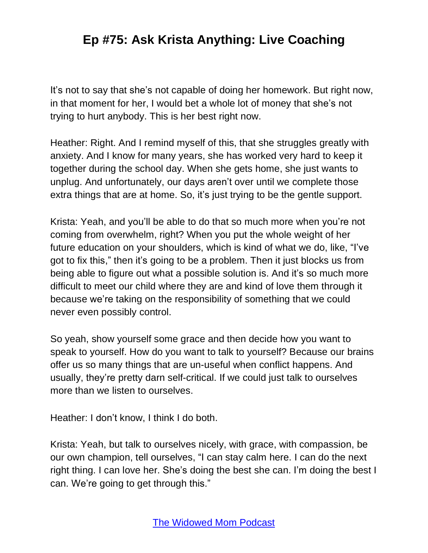It's not to say that she's not capable of doing her homework. But right now, in that moment for her, I would bet a whole lot of money that she's not trying to hurt anybody. This is her best right now.

Heather: Right. And I remind myself of this, that she struggles greatly with anxiety. And I know for many years, she has worked very hard to keep it together during the school day. When she gets home, she just wants to unplug. And unfortunately, our days aren't over until we complete those extra things that are at home. So, it's just trying to be the gentle support.

Krista: Yeah, and you'll be able to do that so much more when you're not coming from overwhelm, right? When you put the whole weight of her future education on your shoulders, which is kind of what we do, like, "I've got to fix this," then it's going to be a problem. Then it just blocks us from being able to figure out what a possible solution is. And it's so much more difficult to meet our child where they are and kind of love them through it because we're taking on the responsibility of something that we could never even possibly control.

So yeah, show yourself some grace and then decide how you want to speak to yourself. How do you want to talk to yourself? Because our brains offer us so many things that are un-useful when conflict happens. And usually, they're pretty darn self-critical. If we could just talk to ourselves more than we listen to ourselves.

Heather: I don't know, I think I do both.

Krista: Yeah, but talk to ourselves nicely, with grace, with compassion, be our own champion, tell ourselves, "I can stay calm here. I can do the next right thing. I can love her. She's doing the best she can. I'm doing the best I can. We're going to get through this."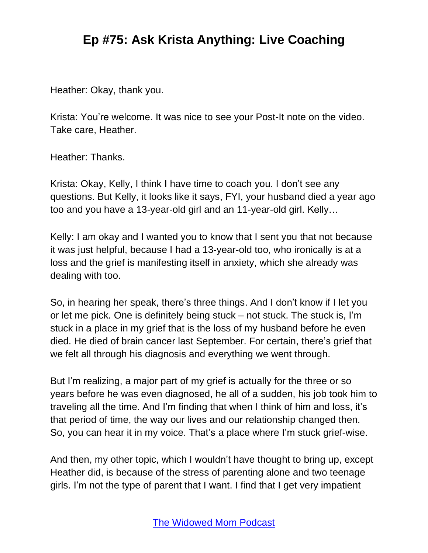Heather: Okay, thank you.

Krista: You're welcome. It was nice to see your Post-It note on the video. Take care, Heather.

Heather: Thanks.

Krista: Okay, Kelly, I think I have time to coach you. I don't see any questions. But Kelly, it looks like it says, FYI, your husband died a year ago too and you have a 13-year-old girl and an 11-year-old girl. Kelly…

Kelly: I am okay and I wanted you to know that I sent you that not because it was just helpful, because I had a 13-year-old too, who ironically is at a loss and the grief is manifesting itself in anxiety, which she already was dealing with too.

So, in hearing her speak, there's three things. And I don't know if I let you or let me pick. One is definitely being stuck – not stuck. The stuck is, I'm stuck in a place in my grief that is the loss of my husband before he even died. He died of brain cancer last September. For certain, there's grief that we felt all through his diagnosis and everything we went through.

But I'm realizing, a major part of my grief is actually for the three or so years before he was even diagnosed, he all of a sudden, his job took him to traveling all the time. And I'm finding that when I think of him and loss, it's that period of time, the way our lives and our relationship changed then. So, you can hear it in my voice. That's a place where I'm stuck grief-wise.

And then, my other topic, which I wouldn't have thought to bring up, except Heather did, is because of the stress of parenting alone and two teenage girls. I'm not the type of parent that I want. I find that I get very impatient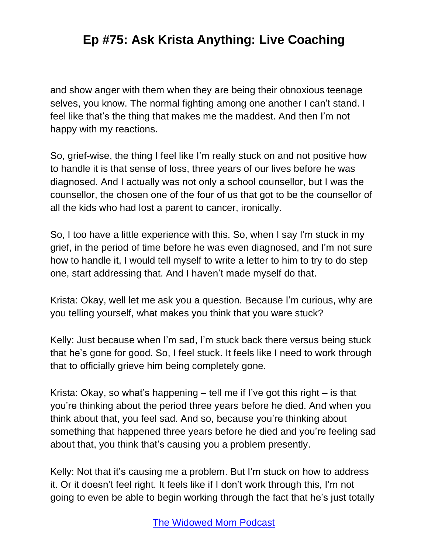and show anger with them when they are being their obnoxious teenage selves, you know. The normal fighting among one another I can't stand. I feel like that's the thing that makes me the maddest. And then I'm not happy with my reactions.

So, grief-wise, the thing I feel like I'm really stuck on and not positive how to handle it is that sense of loss, three years of our lives before he was diagnosed. And I actually was not only a school counsellor, but I was the counsellor, the chosen one of the four of us that got to be the counsellor of all the kids who had lost a parent to cancer, ironically.

So, I too have a little experience with this. So, when I say I'm stuck in my grief, in the period of time before he was even diagnosed, and I'm not sure how to handle it, I would tell myself to write a letter to him to try to do step one, start addressing that. And I haven't made myself do that.

Krista: Okay, well let me ask you a question. Because I'm curious, why are you telling yourself, what makes you think that you ware stuck?

Kelly: Just because when I'm sad, I'm stuck back there versus being stuck that he's gone for good. So, I feel stuck. It feels like I need to work through that to officially grieve him being completely gone.

Krista: Okay, so what's happening – tell me if I've got this right – is that you're thinking about the period three years before he died. And when you think about that, you feel sad. And so, because you're thinking about something that happened three years before he died and you're feeling sad about that, you think that's causing you a problem presently.

Kelly: Not that it's causing me a problem. But I'm stuck on how to address it. Or it doesn't feel right. It feels like if I don't work through this, I'm not going to even be able to begin working through the fact that he's just totally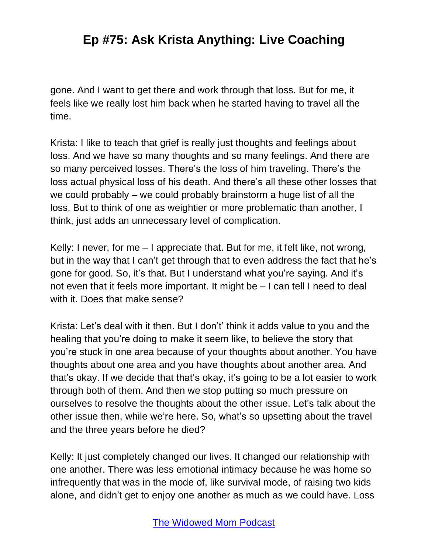gone. And I want to get there and work through that loss. But for me, it feels like we really lost him back when he started having to travel all the time.

Krista: I like to teach that grief is really just thoughts and feelings about loss. And we have so many thoughts and so many feelings. And there are so many perceived losses. There's the loss of him traveling. There's the loss actual physical loss of his death. And there's all these other losses that we could probably – we could probably brainstorm a huge list of all the loss. But to think of one as weightier or more problematic than another, I think, just adds an unnecessary level of complication.

Kelly: I never, for me – I appreciate that. But for me, it felt like, not wrong, but in the way that I can't get through that to even address the fact that he's gone for good. So, it's that. But I understand what you're saying. And it's not even that it feels more important. It might be – I can tell I need to deal with it. Does that make sense?

Krista: Let's deal with it then. But I don't' think it adds value to you and the healing that you're doing to make it seem like, to believe the story that you're stuck in one area because of your thoughts about another. You have thoughts about one area and you have thoughts about another area. And that's okay. If we decide that that's okay, it's going to be a lot easier to work through both of them. And then we stop putting so much pressure on ourselves to resolve the thoughts about the other issue. Let's talk about the other issue then, while we're here. So, what's so upsetting about the travel and the three years before he died?

Kelly: It just completely changed our lives. It changed our relationship with one another. There was less emotional intimacy because he was home so infrequently that was in the mode of, like survival mode, of raising two kids alone, and didn't get to enjoy one another as much as we could have. Loss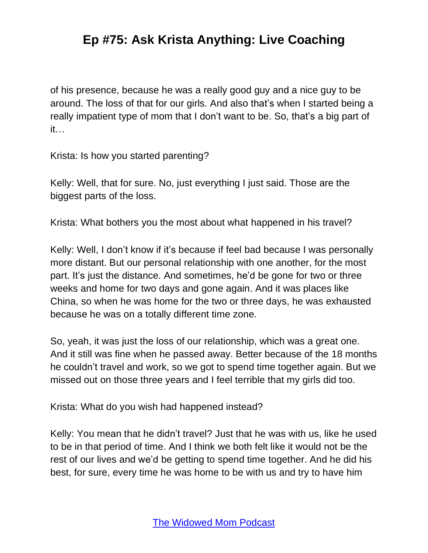of his presence, because he was a really good guy and a nice guy to be around. The loss of that for our girls. And also that's when I started being a really impatient type of mom that I don't want to be. So, that's a big part of it…

Krista: Is how you started parenting?

Kelly: Well, that for sure. No, just everything I just said. Those are the biggest parts of the loss.

Krista: What bothers you the most about what happened in his travel?

Kelly: Well, I don't know if it's because if feel bad because I was personally more distant. But our personal relationship with one another, for the most part. It's just the distance. And sometimes, he'd be gone for two or three weeks and home for two days and gone again. And it was places like China, so when he was home for the two or three days, he was exhausted because he was on a totally different time zone.

So, yeah, it was just the loss of our relationship, which was a great one. And it still was fine when he passed away. Better because of the 18 months he couldn't travel and work, so we got to spend time together again. But we missed out on those three years and I feel terrible that my girls did too.

Krista: What do you wish had happened instead?

Kelly: You mean that he didn't travel? Just that he was with us, like he used to be in that period of time. And I think we both felt like it would not be the rest of our lives and we'd be getting to spend time together. And he did his best, for sure, every time he was home to be with us and try to have him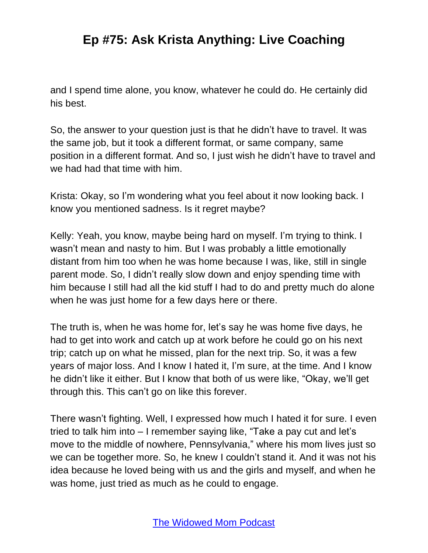and I spend time alone, you know, whatever he could do. He certainly did his best.

So, the answer to your question just is that he didn't have to travel. It was the same job, but it took a different format, or same company, same position in a different format. And so, I just wish he didn't have to travel and we had had that time with him.

Krista: Okay, so I'm wondering what you feel about it now looking back. I know you mentioned sadness. Is it regret maybe?

Kelly: Yeah, you know, maybe being hard on myself. I'm trying to think. I wasn't mean and nasty to him. But I was probably a little emotionally distant from him too when he was home because I was, like, still in single parent mode. So, I didn't really slow down and enjoy spending time with him because I still had all the kid stuff I had to do and pretty much do alone when he was just home for a few days here or there.

The truth is, when he was home for, let's say he was home five days, he had to get into work and catch up at work before he could go on his next trip; catch up on what he missed, plan for the next trip. So, it was a few years of major loss. And I know I hated it, I'm sure, at the time. And I know he didn't like it either. But I know that both of us were like, "Okay, we'll get through this. This can't go on like this forever.

There wasn't fighting. Well, I expressed how much I hated it for sure. I even tried to talk him into – I remember saying like, "Take a pay cut and let's move to the middle of nowhere, Pennsylvania," where his mom lives just so we can be together more. So, he knew I couldn't stand it. And it was not his idea because he loved being with us and the girls and myself, and when he was home, just tried as much as he could to engage.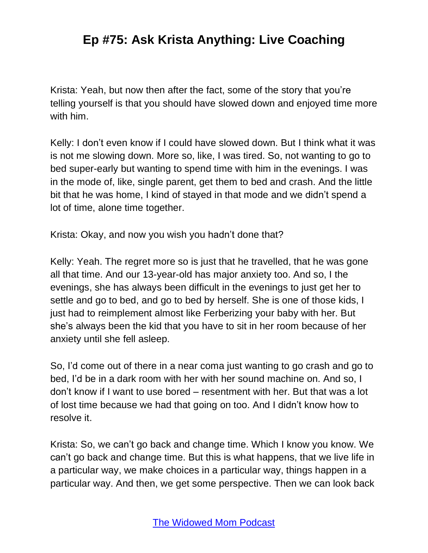Krista: Yeah, but now then after the fact, some of the story that you're telling yourself is that you should have slowed down and enjoyed time more with him.

Kelly: I don't even know if I could have slowed down. But I think what it was is not me slowing down. More so, like, I was tired. So, not wanting to go to bed super-early but wanting to spend time with him in the evenings. I was in the mode of, like, single parent, get them to bed and crash. And the little bit that he was home, I kind of stayed in that mode and we didn't spend a lot of time, alone time together.

Krista: Okay, and now you wish you hadn't done that?

Kelly: Yeah. The regret more so is just that he travelled, that he was gone all that time. And our 13-year-old has major anxiety too. And so, I the evenings, she has always been difficult in the evenings to just get her to settle and go to bed, and go to bed by herself. She is one of those kids, I just had to reimplement almost like Ferberizing your baby with her. But she's always been the kid that you have to sit in her room because of her anxiety until she fell asleep.

So, I'd come out of there in a near coma just wanting to go crash and go to bed, I'd be in a dark room with her with her sound machine on. And so, I don't know if I want to use bored – resentment with her. But that was a lot of lost time because we had that going on too. And I didn't know how to resolve it.

Krista: So, we can't go back and change time. Which I know you know. We can't go back and change time. But this is what happens, that we live life in a particular way, we make choices in a particular way, things happen in a particular way. And then, we get some perspective. Then we can look back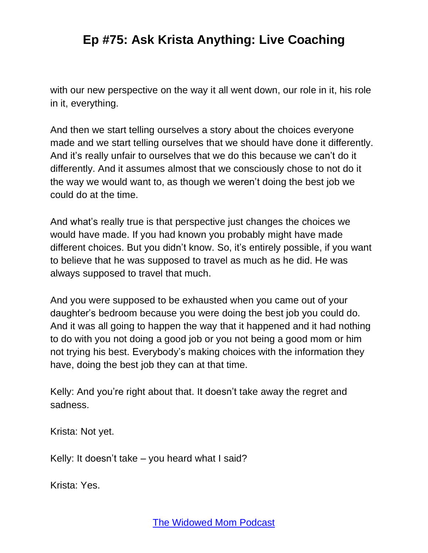with our new perspective on the way it all went down, our role in it, his role in it, everything.

And then we start telling ourselves a story about the choices everyone made and we start telling ourselves that we should have done it differently. And it's really unfair to ourselves that we do this because we can't do it differently. And it assumes almost that we consciously chose to not do it the way we would want to, as though we weren't doing the best job we could do at the time.

And what's really true is that perspective just changes the choices we would have made. If you had known you probably might have made different choices. But you didn't know. So, it's entirely possible, if you want to believe that he was supposed to travel as much as he did. He was always supposed to travel that much.

And you were supposed to be exhausted when you came out of your daughter's bedroom because you were doing the best job you could do. And it was all going to happen the way that it happened and it had nothing to do with you not doing a good job or you not being a good mom or him not trying his best. Everybody's making choices with the information they have, doing the best job they can at that time.

Kelly: And you're right about that. It doesn't take away the regret and sadness.

Krista: Not yet.

Kelly: It doesn't take – you heard what I said?

Krista: Yes.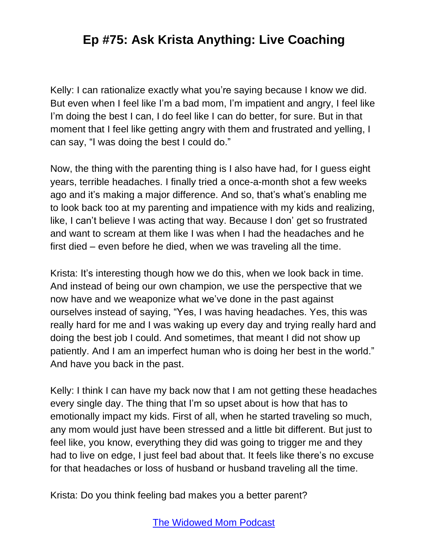Kelly: I can rationalize exactly what you're saying because I know we did. But even when I feel like I'm a bad mom, I'm impatient and angry, I feel like I'm doing the best I can, I do feel like I can do better, for sure. But in that moment that I feel like getting angry with them and frustrated and yelling, I can say, "I was doing the best I could do."

Now, the thing with the parenting thing is I also have had, for I guess eight years, terrible headaches. I finally tried a once-a-month shot a few weeks ago and it's making a major difference. And so, that's what's enabling me to look back too at my parenting and impatience with my kids and realizing, like, I can't believe I was acting that way. Because I don' get so frustrated and want to scream at them like I was when I had the headaches and he first died – even before he died, when we was traveling all the time.

Krista: It's interesting though how we do this, when we look back in time. And instead of being our own champion, we use the perspective that we now have and we weaponize what we've done in the past against ourselves instead of saying, "Yes, I was having headaches. Yes, this was really hard for me and I was waking up every day and trying really hard and doing the best job I could. And sometimes, that meant I did not show up patiently. And I am an imperfect human who is doing her best in the world." And have you back in the past.

Kelly: I think I can have my back now that I am not getting these headaches every single day. The thing that I'm so upset about is how that has to emotionally impact my kids. First of all, when he started traveling so much, any mom would just have been stressed and a little bit different. But just to feel like, you know, everything they did was going to trigger me and they had to live on edge, I just feel bad about that. It feels like there's no excuse for that headaches or loss of husband or husband traveling all the time.

Krista: Do you think feeling bad makes you a better parent?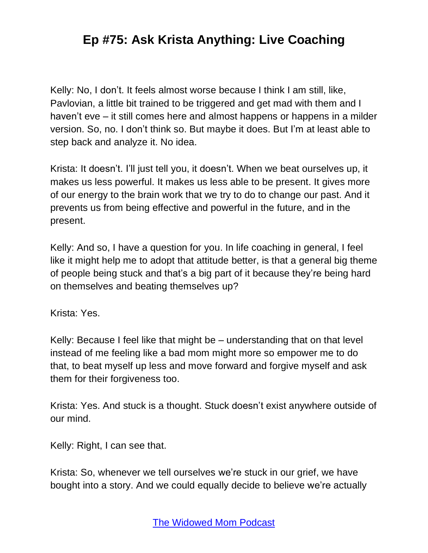Kelly: No, I don't. It feels almost worse because I think I am still, like, Pavlovian, a little bit trained to be triggered and get mad with them and I haven't eve – it still comes here and almost happens or happens in a milder version. So, no. I don't think so. But maybe it does. But I'm at least able to step back and analyze it. No idea.

Krista: It doesn't. I'll just tell you, it doesn't. When we beat ourselves up, it makes us less powerful. It makes us less able to be present. It gives more of our energy to the brain work that we try to do to change our past. And it prevents us from being effective and powerful in the future, and in the present.

Kelly: And so, I have a question for you. In life coaching in general, I feel like it might help me to adopt that attitude better, is that a general big theme of people being stuck and that's a big part of it because they're being hard on themselves and beating themselves up?

Krista: Yes.

Kelly: Because I feel like that might be – understanding that on that level instead of me feeling like a bad mom might more so empower me to do that, to beat myself up less and move forward and forgive myself and ask them for their forgiveness too.

Krista: Yes. And stuck is a thought. Stuck doesn't exist anywhere outside of our mind.

Kelly: Right, I can see that.

Krista: So, whenever we tell ourselves we're stuck in our grief, we have bought into a story. And we could equally decide to believe we're actually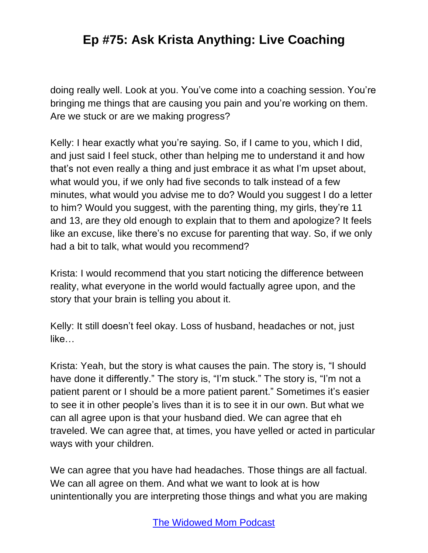doing really well. Look at you. You've come into a coaching session. You're bringing me things that are causing you pain and you're working on them. Are we stuck or are we making progress?

Kelly: I hear exactly what you're saying. So, if I came to you, which I did, and just said I feel stuck, other than helping me to understand it and how that's not even really a thing and just embrace it as what I'm upset about, what would you, if we only had five seconds to talk instead of a few minutes, what would you advise me to do? Would you suggest I do a letter to him? Would you suggest, with the parenting thing, my girls, they're 11 and 13, are they old enough to explain that to them and apologize? It feels like an excuse, like there's no excuse for parenting that way. So, if we only had a bit to talk, what would you recommend?

Krista: I would recommend that you start noticing the difference between reality, what everyone in the world would factually agree upon, and the story that your brain is telling you about it.

Kelly: It still doesn't feel okay. Loss of husband, headaches or not, just like…

Krista: Yeah, but the story is what causes the pain. The story is, "I should have done it differently." The story is, "I'm stuck." The story is, "I'm not a patient parent or I should be a more patient parent." Sometimes it's easier to see it in other people's lives than it is to see it in our own. But what we can all agree upon is that your husband died. We can agree that eh traveled. We can agree that, at times, you have yelled or acted in particular ways with your children.

We can agree that you have had headaches. Those things are all factual. We can all agree on them. And what we want to look at is how unintentionally you are interpreting those things and what you are making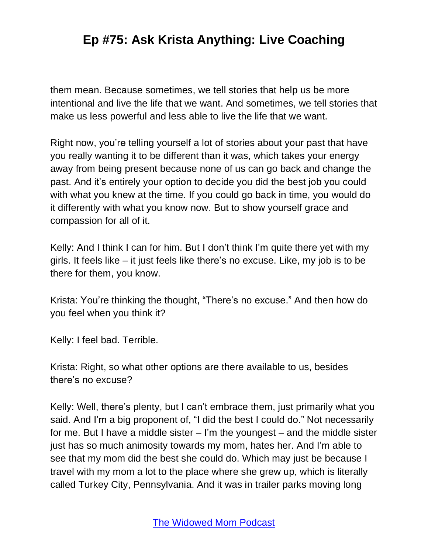them mean. Because sometimes, we tell stories that help us be more intentional and live the life that we want. And sometimes, we tell stories that make us less powerful and less able to live the life that we want.

Right now, you're telling yourself a lot of stories about your past that have you really wanting it to be different than it was, which takes your energy away from being present because none of us can go back and change the past. And it's entirely your option to decide you did the best job you could with what you knew at the time. If you could go back in time, you would do it differently with what you know now. But to show yourself grace and compassion for all of it.

Kelly: And I think I can for him. But I don't think I'm quite there yet with my girls. It feels like – it just feels like there's no excuse. Like, my job is to be there for them, you know.

Krista: You're thinking the thought, "There's no excuse." And then how do you feel when you think it?

Kelly: I feel bad. Terrible.

Krista: Right, so what other options are there available to us, besides there's no excuse?

Kelly: Well, there's plenty, but I can't embrace them, just primarily what you said. And I'm a big proponent of, "I did the best I could do." Not necessarily for me. But I have a middle sister – I'm the youngest – and the middle sister just has so much animosity towards my mom, hates her. And I'm able to see that my mom did the best she could do. Which may just be because I travel with my mom a lot to the place where she grew up, which is literally called Turkey City, Pennsylvania. And it was in trailer parks moving long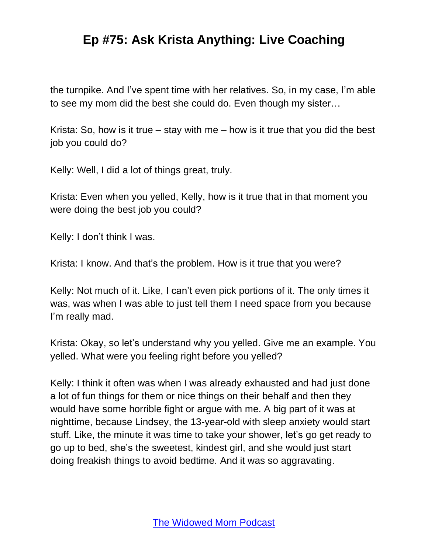the turnpike. And I've spent time with her relatives. So, in my case, I'm able to see my mom did the best she could do. Even though my sister…

Krista: So, how is it true – stay with me – how is it true that you did the best job you could do?

Kelly: Well, I did a lot of things great, truly.

Krista: Even when you yelled, Kelly, how is it true that in that moment you were doing the best job you could?

Kelly: I don't think I was.

Krista: I know. And that's the problem. How is it true that you were?

Kelly: Not much of it. Like, I can't even pick portions of it. The only times it was, was when I was able to just tell them I need space from you because I'm really mad.

Krista: Okay, so let's understand why you yelled. Give me an example. You yelled. What were you feeling right before you yelled?

Kelly: I think it often was when I was already exhausted and had just done a lot of fun things for them or nice things on their behalf and then they would have some horrible fight or argue with me. A big part of it was at nighttime, because Lindsey, the 13-year-old with sleep anxiety would start stuff. Like, the minute it was time to take your shower, let's go get ready to go up to bed, she's the sweetest, kindest girl, and she would just start doing freakish things to avoid bedtime. And it was so aggravating.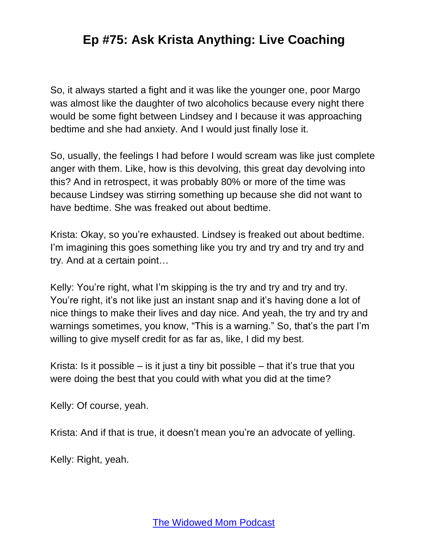So, it always started a fight and it was like the younger one, poor Margo was almost like the daughter of two alcoholics because every night there would be some fight between Lindsey and I because it was approaching bedtime and she had anxiety. And I would just finally lose it.

So, usually, the feelings I had before I would scream was like just complete anger with them. Like, how is this devolving, this great day devolving into this? And in retrospect, it was probably 80% or more of the time was because Lindsey was stirring something up because she did not want to have bedtime. She was freaked out about bedtime.

Krista: Okay, so you're exhausted. Lindsey is freaked out about bedtime. I'm imagining this goes something like you try and try and try and try and try. And at a certain point…

Kelly: You're right, what I'm skipping is the try and try and try and try. You're right, it's not like just an instant snap and it's having done a lot of nice things to make their lives and day nice. And yeah, the try and try and warnings sometimes, you know, "This is a warning." So, that's the part I'm willing to give myself credit for as far as, like, I did my best.

Krista: Is it possible  $-$  is it just a tiny bit possible  $-$  that it's true that you were doing the best that you could with what you did at the time?

Kelly: Of course, yeah.

Krista: And if that is true, it doesn't mean you're an advocate of yelling.

Kelly: Right, yeah.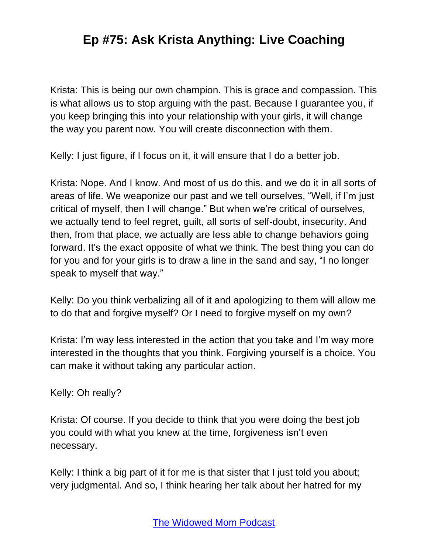Krista: This is being our own champion. This is grace and compassion. This is what allows us to stop arguing with the past. Because I guarantee you, if you keep bringing this into your relationship with your girls, it will change the way you parent now. You will create disconnection with them.

Kelly: I just figure, if I focus on it, it will ensure that I do a better job.

Krista: Nope. And I know. And most of us do this. and we do it in all sorts of areas of life. We weaponize our past and we tell ourselves, "Well, if I'm just critical of myself, then I will change." But when we're critical of ourselves, we actually tend to feel regret, guilt, all sorts of self-doubt, insecurity. And then, from that place, we actually are less able to change behaviors going forward. It's the exact opposite of what we think. The best thing you can do for you and for your girls is to draw a line in the sand and say, "I no longer speak to myself that way."

Kelly: Do you think verbalizing all of it and apologizing to them will allow me to do that and forgive myself? Or I need to forgive myself on my own?

Krista: I'm way less interested in the action that you take and I'm way more interested in the thoughts that you think. Forgiving yourself is a choice. You can make it without taking any particular action.

Kelly: Oh really?

Krista: Of course. If you decide to think that you were doing the best job you could with what you knew at the time, forgiveness isn't even necessary.

Kelly: I think a big part of it for me is that sister that I just told you about; very judgmental. And so, I think hearing her talk about her hatred for my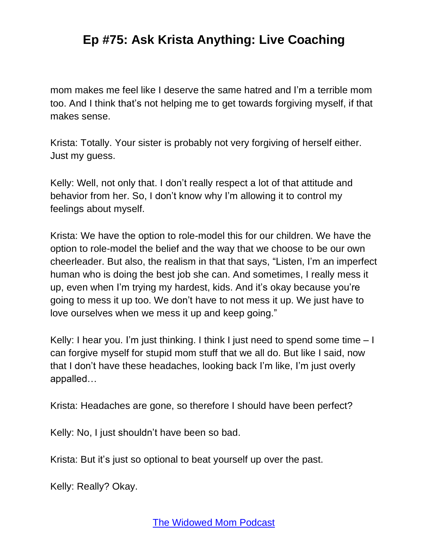mom makes me feel like I deserve the same hatred and I'm a terrible mom too. And I think that's not helping me to get towards forgiving myself, if that makes sense.

Krista: Totally. Your sister is probably not very forgiving of herself either. Just my guess.

Kelly: Well, not only that. I don't really respect a lot of that attitude and behavior from her. So, I don't know why I'm allowing it to control my feelings about myself.

Krista: We have the option to role-model this for our children. We have the option to role-model the belief and the way that we choose to be our own cheerleader. But also, the realism in that that says, "Listen, I'm an imperfect human who is doing the best job she can. And sometimes, I really mess it up, even when I'm trying my hardest, kids. And it's okay because you're going to mess it up too. We don't have to not mess it up. We just have to love ourselves when we mess it up and keep going."

Kelly: I hear you. I'm just thinking. I think I just need to spend some time – I can forgive myself for stupid mom stuff that we all do. But like I said, now that I don't have these headaches, looking back I'm like, I'm just overly appalled…

Krista: Headaches are gone, so therefore I should have been perfect?

Kelly: No, I just shouldn't have been so bad.

Krista: But it's just so optional to beat yourself up over the past.

Kelly: Really? Okay.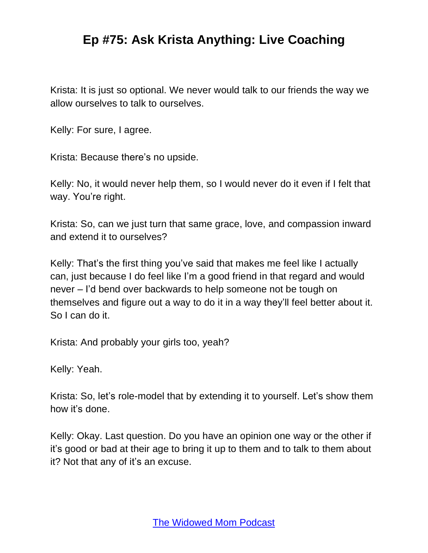Krista: It is just so optional. We never would talk to our friends the way we allow ourselves to talk to ourselves.

Kelly: For sure, I agree.

Krista: Because there's no upside.

Kelly: No, it would never help them, so I would never do it even if I felt that way. You're right.

Krista: So, can we just turn that same grace, love, and compassion inward and extend it to ourselves?

Kelly: That's the first thing you've said that makes me feel like I actually can, just because I do feel like I'm a good friend in that regard and would never – I'd bend over backwards to help someone not be tough on themselves and figure out a way to do it in a way they'll feel better about it. So I can do it.

Krista: And probably your girls too, yeah?

Kelly: Yeah.

Krista: So, let's role-model that by extending it to yourself. Let's show them how it's done.

Kelly: Okay. Last question. Do you have an opinion one way or the other if it's good or bad at their age to bring it up to them and to talk to them about it? Not that any of it's an excuse.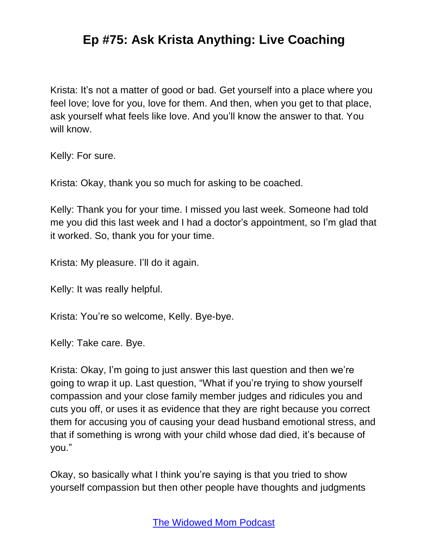Krista: It's not a matter of good or bad. Get yourself into a place where you feel love; love for you, love for them. And then, when you get to that place, ask yourself what feels like love. And you'll know the answer to that. You will know.

Kelly: For sure.

Krista: Okay, thank you so much for asking to be coached.

Kelly: Thank you for your time. I missed you last week. Someone had told me you did this last week and I had a doctor's appointment, so I'm glad that it worked. So, thank you for your time.

Krista: My pleasure. I'll do it again.

Kelly: It was really helpful.

Krista: You're so welcome, Kelly. Bye-bye.

Kelly: Take care. Bye.

Krista: Okay, I'm going to just answer this last question and then we're going to wrap it up. Last question, "What if you're trying to show yourself compassion and your close family member judges and ridicules you and cuts you off, or uses it as evidence that they are right because you correct them for accusing you of causing your dead husband emotional stress, and that if something is wrong with your child whose dad died, it's because of you."

Okay, so basically what I think you're saying is that you tried to show yourself compassion but then other people have thoughts and judgments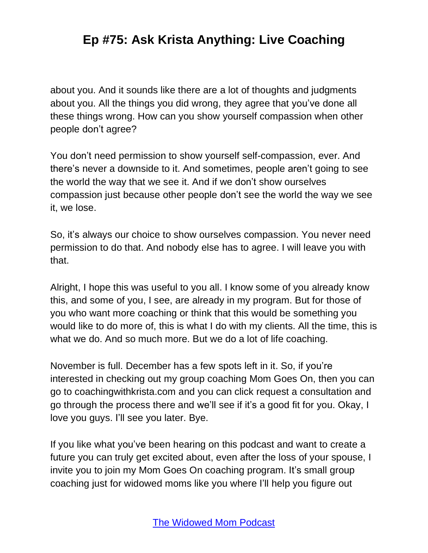about you. And it sounds like there are a lot of thoughts and judgments about you. All the things you did wrong, they agree that you've done all these things wrong. How can you show yourself compassion when other people don't agree?

You don't need permission to show yourself self-compassion, ever. And there's never a downside to it. And sometimes, people aren't going to see the world the way that we see it. And if we don't show ourselves compassion just because other people don't see the world the way we see it, we lose.

So, it's always our choice to show ourselves compassion. You never need permission to do that. And nobody else has to agree. I will leave you with that.

Alright, I hope this was useful to you all. I know some of you already know this, and some of you, I see, are already in my program. But for those of you who want more coaching or think that this would be something you would like to do more of, this is what I do with my clients. All the time, this is what we do. And so much more. But we do a lot of life coaching.

November is full. December has a few spots left in it. So, if you're interested in checking out my group coaching Mom Goes On, then you can go to coachingwithkrista.com and you can click request a consultation and go through the process there and we'll see if it's a good fit for you. Okay, I love you guys. I'll see you later. Bye.

If you like what you've been hearing on this podcast and want to create a future you can truly get excited about, even after the loss of your spouse, I invite you to join my Mom Goes On coaching program. It's small group coaching just for widowed moms like you where I'll help you figure out